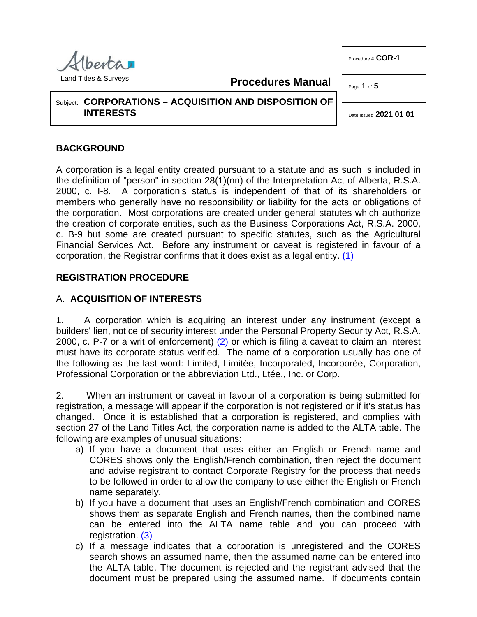**Procedures Manual**

Subject: **CORPORATIONS – ACQUISITION AND DISPOSITION OF INTERESTS**

# **BACKGROUND**

A corporation is a legal entity created pursuant to a statute and as such is included in the definition of "person" in section 28(1)(nn) of the Interpretation Act of Alberta, R.S.A. 2000, c. I-8. A corporation's status is independent of that of its shareholders or members who generally have no responsibility or liability for the acts or obligations of the corporation. Most corporations are created under general statutes which authorize the creation of corporate entities, such as the Business Corporations Act, R.S.A. 2000, c. B-9 but some are created pursuant to specific statutes, such as the Agricultural Financial Services Act. Before any instrument or caveat is registered in favour of a corporation, the Registrar confirms that it does exist as a legal entity. [\(1\)](#page-3-0)

## **REGISTRATION PROCEDURE**

## A. **ACQUISITION OF INTERESTS**

<span id="page-0-1"></span>1. A corporation which is acquiring an interest under any instrument (except a builders' lien, notice of security interest under the Personal Property Security Act, R.S.A. 2000, c. P-7 or a writ of enforcement) [\(2\)](#page-3-1) or which is filing a caveat to claim an interest must have its corporate status verified. The name of a corporation usually has one of the following as the last word: Limited, Limitée, Incorporated, Incorporée, Corporation, Professional Corporation or the abbreviation Ltd., Ltée., Inc. or Corp.

2. When an instrument or caveat in favour of a corporation is being submitted for registration, a message will appear if the corporation is not registered or if it's status has changed. Once it is established that a corporation is registered, and complies with section 27 of the Land Titles Act, the corporation name is added to the ALTA table. The following are examples of unusual situations:

- a) If you have a document that uses either an English or French name and CORES shows only the English/French combination, then reject the document and advise registrant to contact Corporate Registry for the process that needs to be followed in order to allow the company to use either the English or French name separately.
- b) If you have a document that uses an English/French combination and CORES shows them as separate English and French names, then the combined name can be entered into the ALTA name table and you can proceed with registration. [\(3\)](#page-3-2)
- <span id="page-0-3"></span><span id="page-0-2"></span>c) If a message indicates that a corporation is unregistered and the CORES search shows an assumed name, then the assumed name can be entered into the ALTA table. The document is rejected and the registrant advised that the document must be prepared using the assumed name. If documents contain

Procedure # **COR-1**

Page **1** of **5** 

<span id="page-0-0"></span>Date Issued **2021 01 01**

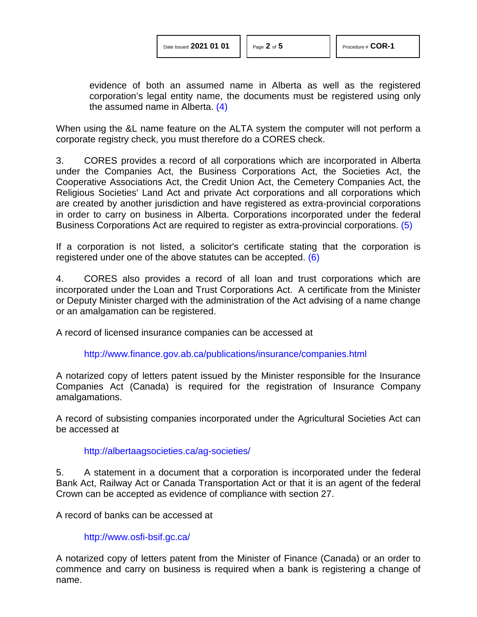evidence of both an assumed name in Alberta as well as the registered corporation's legal entity name, the documents must be registered using only the assumed name in Alberta. [\(4\)](#page-3-3)

When using the &L name feature on the ALTA system the computer will not perform a corporate registry check, you must therefore do a CORES check.

3. CORES provides a record of all corporations which are incorporated in Alberta under the Companies Act, the Business Corporations Act, the Societies Act, the Cooperative Associations Act, the Credit Union Act, the Cemetery Companies Act, the Religious Societies' Land Act and private Act corporations and all corporations which are created by another jurisdiction and have registered as extra-provincial corporations in order to carry on business in Alberta. Corporations incorporated under the federal Business Corporations Act are required to register as extra-provincial corporations. [\(5\)](#page-3-4)

If a corporation is not listed, a solicitor's certificate stating that the corporation is registered under one of the above statutes can be accepted. [\(6\)](#page-3-5)

4. CORES also provides a record of all loan and trust corporations which are incorporated under the Loan and Trust Corporations Act. A certificate from the Minister or Deputy Minister charged with the administration of the Act advising of a name change or an amalgamation can be registered.

A record of licensed insurance companies can be accessed at

<span id="page-1-1"></span><span id="page-1-0"></span><http://www.finance.gov.ab.ca/publications/insurance/companies.html>

A notarized copy of letters patent issued by the Minister responsible for the Insurance Companies Act (Canada) is required for the registration of Insurance Company amalgamations.

A record of subsisting companies incorporated under the Agricultural Societies Act can be accessed at

#### <http://albertaagsocieties.ca/ag-societies/>

5. A statement in a document that a corporation is incorporated under the federal Bank Act, Railway Act or Canada Transportation Act or that it is an agent of the federal Crown can be accepted as evidence of compliance with section 27.

A record of banks can be accessed at

<http://www.osfi-bsif.gc.ca/>

A notarized copy of letters patent from the Minister of Finance (Canada) or an order to commence and carry on business is required when a bank is registering a change of name.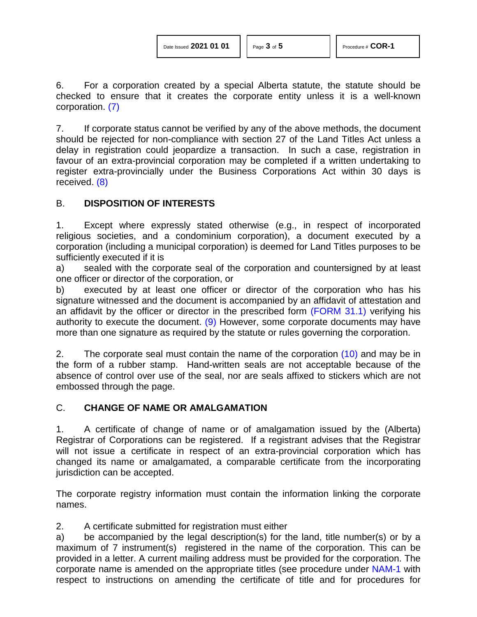<span id="page-2-0"></span>6. For a corporation created by a special Alberta statute, the statute should be checked to ensure that it creates the corporate entity unless it is a well-known corporation. [\(7\)](#page-3-6)

7. If corporate status cannot be verified by any of the above methods, the document should be rejected for non-compliance with section 27 of the Land Titles Act unless a delay in registration could jeopardize a transaction. In such a case, registration in favour of an extra-provincial corporation may be completed if a written undertaking to register extra-provincially under the Business Corporations Act within 30 days is received. [\(8\)](#page-3-7)

## <span id="page-2-1"></span>B. **DISPOSITION OF INTERESTS**

1. Except where expressly stated otherwise (e.g., in respect of incorporated religious societies, and a condominium corporation), a document executed by a corporation (including a municipal corporation) is deemed for Land Titles purposes to be sufficiently executed if it is

a) sealed with the corporate seal of the corporation and countersigned by at least one officer or director of the corporation, or

<span id="page-2-2"></span>b) executed by at least one officer or director of the corporation who has his signature witnessed and the document is accompanied by an affidavit of attestation and an affidavit by the officer or director in the prescribed form [\(FORM 31.1\)](http://www.servicealberta.ca/pdf/ltmanual/FORM31.1.PDF) verifying his authority to execute the document. [\(9\)](#page-4-0) However, some corporate documents may have more than one signature as required by the statute or rules governing the corporation.

<span id="page-2-3"></span>2. The corporate seal must contain the name of the corporation  $(10)$  and may be in the form of a rubber stamp. Hand-written seals are not acceptable because of the absence of control over use of the seal, nor are seals affixed to stickers which are not embossed through the page.

## C. **CHANGE OF NAME OR AMALGAMATION**

1. A certificate of change of name or of amalgamation issued by the (Alberta) Registrar of Corporations can be registered. If a registrant advises that the Registrar will not issue a certificate in respect of an extra-provincial corporation which has changed its name or amalgamated, a comparable certificate from the incorporating jurisdiction can be accepted.

The corporate registry information must contain the information linking the corporate names.

2. A certificate submitted for registration must either

a) be accompanied by the legal description(s) for the land, title number(s) or by a maximum of 7 instrument(s) registered in the name of the corporation. This can be provided in a letter. A current mailing address must be provided for the corporation. The corporate name is amended on the appropriate titles (see procedure under [NAM-1](http://www.servicealberta.ca/pdf/ltmanual/NAM-1.pdf) with respect to instructions on amending the certificate of title and for procedures for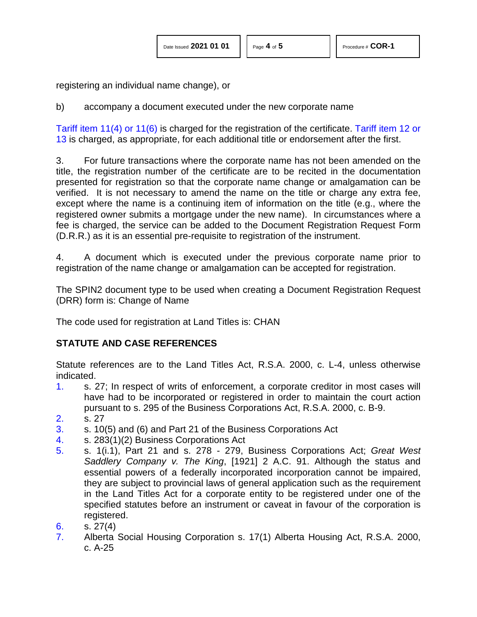registering an individual name change), or

b) accompany a document executed under the new corporate name

Tariff item [11\(4\) or 11\(6\)](http://www.servicealberta.ca/pdf/ltmanual/APPENDIXI.pdf) is charged for the registration of the certificate. [Tariff item 12 or](http://www.servicealberta.ca/pdf/ltmanual/APPENDIXI.pdf)  [13](http://www.servicealberta.ca/pdf/ltmanual/APPENDIXI.pdf) is charged, as appropriate, for each additional title or endorsement after the first.

3. For future transactions where the corporate name has not been amended on the title, the registration number of the certificate are to be recited in the documentation presented for registration so that the corporate name change or amalgamation can be verified. It is not necessary to amend the name on the title or charge any extra fee, except where the name is a continuing item of information on the title (e.g., where the registered owner submits a mortgage under the new name). In circumstances where a fee is charged, the service can be added to the Document Registration Request Form (D.R.R.) as it is an essential pre-requisite to registration of the instrument.

4. A document which is executed under the previous corporate name prior to registration of the name change or amalgamation can be accepted for registration.

The SPIN2 document type to be used when creating a Document Registration Request (DRR) form is: Change of Name

The code used for registration at Land Titles is: CHAN

## **STATUTE AND CASE REFERENCES**

Statute references are to the Land Titles Act, R.S.A. 2000, c. L-4, unless otherwise indicated.

- <span id="page-3-0"></span>[1.](#page-0-0) s. 27; In respect of writs of enforcement, a corporate creditor in most cases will have had to be incorporated or registered in order to maintain the court action pursuant to s. 295 of the Business Corporations Act, R.S.A. 2000, c. B-9.
- <span id="page-3-1"></span>[2.](#page-0-1) s. 27
- <span id="page-3-2"></span>[3.](#page-0-2) s. 10(5) and (6) and Part 21 of the Business Corporations Act
- <span id="page-3-3"></span>[4.](#page-0-3) s. 283(1)(2) Business Corporations Act
- <span id="page-3-4"></span>[5.](#page-1-0) s. 1(i.1), Part 21 and s. 278 - 279, Business Corporations Act; *Great West Saddlery Company v. The King*, [1921] 2 A.C. 91. Although the status and essential powers of a federally incorporated incorporation cannot be impaired, they are subject to provincial laws of general application such as the requirement in the Land Titles Act for a corporate entity to be registered under one of the specified statutes before an instrument or caveat in favour of the corporation is registered.
- <span id="page-3-5"></span>[6.](#page-1-1) s.  $27(4)$
- <span id="page-3-7"></span><span id="page-3-6"></span>[7.](#page-2-0) Alberta Social Housing Corporation s. 17(1) Alberta Housing Act, R.S.A. 2000, c. A-25